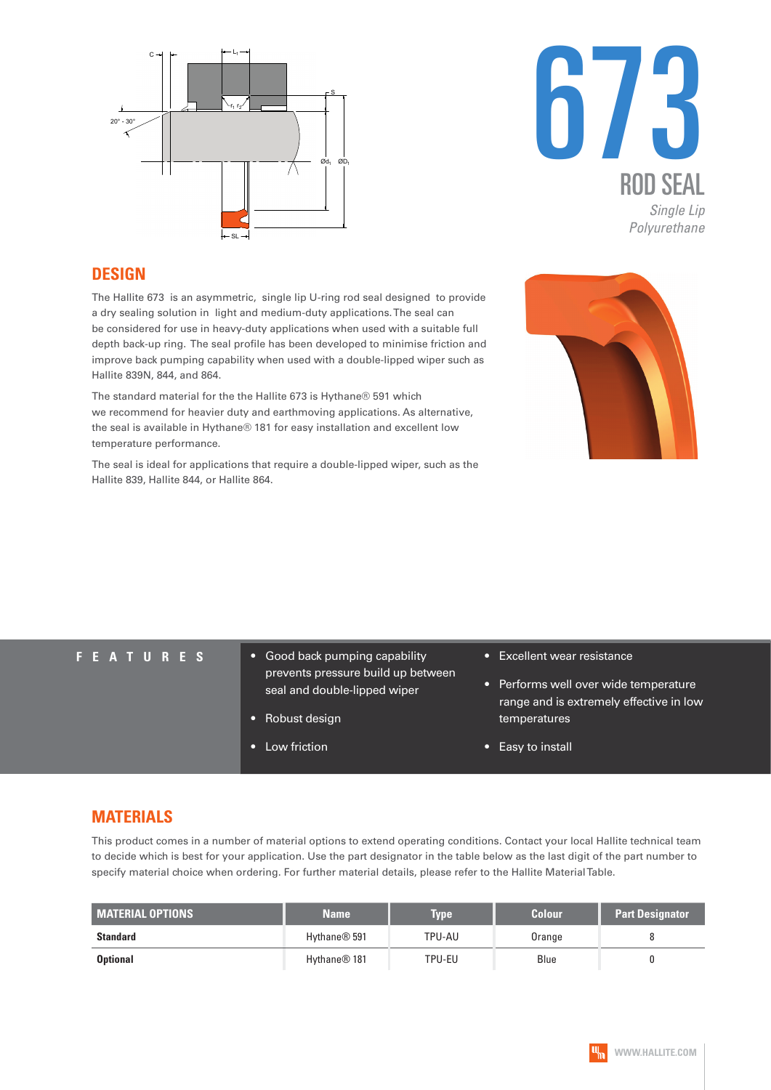



#### **DESIGN**

The Hallite 673 is an asymmetric, single lip U-ring rod seal designed to provide a dry sealing solution in light and medium-duty applications. The seal can be considered for use in heavy-duty applications when used with a suitable full depth back-up ring. The seal profile has been developed to minimise friction and improve back pumping capability when used with a double-lipped wiper such as Hallite 839N, 844, and 864.

The standard material for the the Hallite 673 is Hythane® 591 which we recommend for heavier duty and earthmoving applications. As alternative, the seal is available in Hythane® 181 for easy installation and excellent low temperature performance.

The seal is ideal for applications that require a double-lipped wiper, such as the Hallite 839, Hallite 844, or Hallite 864.



- **FEATURES** Good back pumping capability prevents pressure build up between seal and double-lipped wiper
	- Robust design
	- Low friction
- Excellent wear resistance
- Performs well over wide temperature range and is extremely effective in low temperatures
- Easy to install

#### **MATERIALS**

This product comes in a number of material options to extend operating conditions. Contact your local Hallite technical team to decide which is best for your application. Use the part designator in the table below as the last digit of the part number to specify material choice when ordering. For further material details, please refer to the Hallite Material Table.

| <b>MATERIAL OPTIONS</b> | <b>Name</b>              | <b>Type</b> | <b>Colour</b> | <b>Part Designator</b> |
|-------------------------|--------------------------|-------------|---------------|------------------------|
| <b>Standard</b>         | Hythane <sup>®</sup> 591 | TPU-AU      | Orange        |                        |
| <b>Optional</b>         | Hythane <sup>®</sup> 181 | TPU-EU      | Blue          |                        |

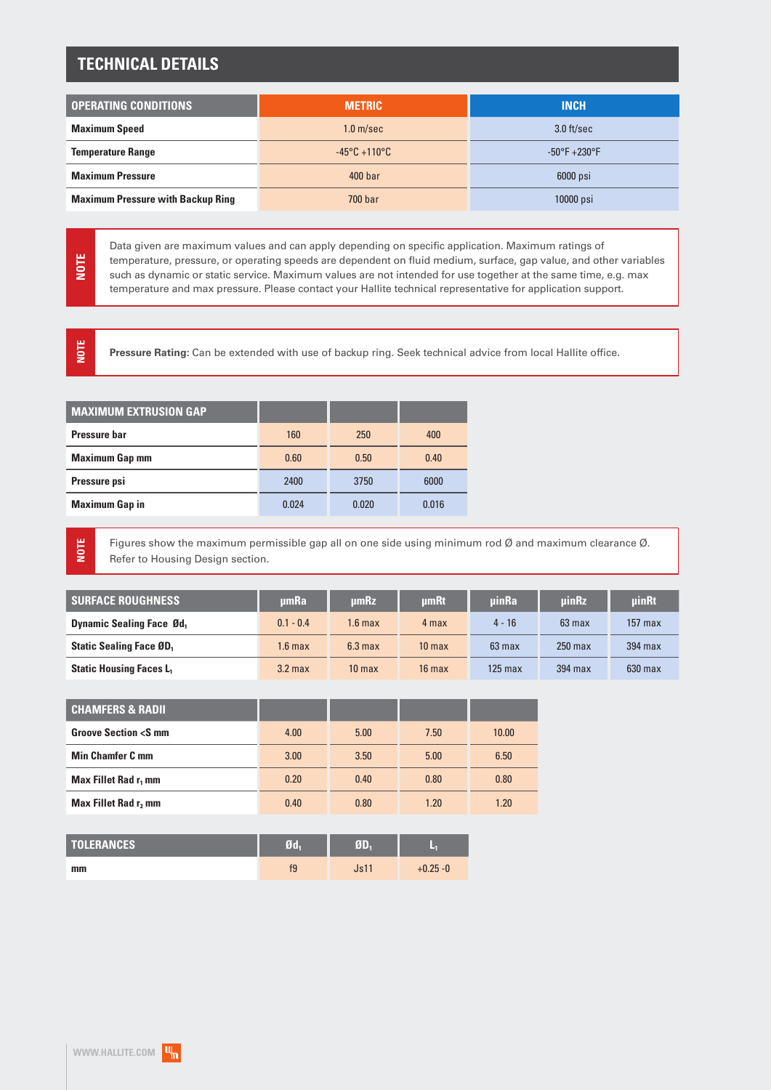### **TECHNICAL DETAILS**

| <b>OPERATING CONDITIONS</b>              | <b>METRIC</b>                     | <b>INCH</b>            |  |
|------------------------------------------|-----------------------------------|------------------------|--|
| <b>Maximum Speed</b>                     | 1.0 <sub>m/sec</sub>              | $3.0$ ft/sec           |  |
| <b>Temperature Range</b>                 | $-45^{\circ}$ C +110 $^{\circ}$ C | $-50^{\circ}$ F +230°F |  |
| <b>Maximum Pressure</b>                  | 400 <sub>bar</sub>                | 6000 psi               |  |
| <b>Maximum Pressure with Backup Ring</b> | 700 bar                           | $10000$ psi            |  |

Data given are maximum values and can apply depending on specific application. Maximum ratings of temperature, pressure, or operating speeds are dependent on fluid medium, surface, gap value, and other variables such as dynamic or static service. Maximum values are not intended for use together at the same time, e.g. max temperature and max pressure. Please contact your Hallite technical representative for application support.

**NOTE**

**NOTE**

**NOTE**

**Pressure Rating:** Can be extended with use of backup ring. Seek technical advice from local Hallite office.

| <b>MAXIMUM EXTRUSION GAP</b> |       |       |       |
|------------------------------|-------|-------|-------|
| Pressure har                 | 160   | 250   | 400   |
| <b>Maximum Gap mm</b>        | 0.60  | 0.50  | 0.40  |
| Pressure psi                 | 2400  | 3750  | 6000  |
| <b>Maximum Gap in</b>        | 0.024 | 0.020 | 0.016 |
|                              |       |       |       |

Figures show the maximum permissible gap all on one side using minimum rod Ø and maximum clearance Ø. Refer to Housing Design section.

| <b>SURFACE ROUGHNESS</b>                   | umRa               | umRz               | umRt              | <b>uinRa</b> | <b>uinRz</b> | uinRt     |
|--------------------------------------------|--------------------|--------------------|-------------------|--------------|--------------|-----------|
| <b>Dynamic Sealing Face Ød</b>             | $0.1 - 0.4$        | 1.6 max            | 4 max             | $4 - 16$     | $63$ max     | $157$ max |
| <b>Static Sealing Face ØD</b> <sub>1</sub> | 1.6 <sub>max</sub> | 6.3 <sub>max</sub> | 10 <sub>max</sub> | $63$ max     | $250$ max    | $394$ max |
| <b>Static Housing Faces L1</b>             | 3.2 <sub>max</sub> | 10 <sub>max</sub>  | $16$ max          | $125$ max    | 394 max      | $630$ max |

| <b>CHAMFERS &amp; RADIL</b>               |      |      |      |       |
|-------------------------------------------|------|------|------|-------|
| <b>Groove Section <s b="" mm<=""></s></b> | 4.00 | 5.00 | 7.50 | 10.00 |
| <b>Min Chamfer C mm</b>                   | 3.00 | 3.50 | 5.00 | 6.50  |
| Max Fillet Rad r <sub>1</sub> mm          | 0.20 | 0.40 | 0.80 | 0.80  |
| Max Fillet Rad r, mm                      | 0.40 | 0.80 | 1.20 | 1.20  |

| <b>TOLERANCES</b> | 70h | e i n |            |
|-------------------|-----|-------|------------|
| mm                | f9  | Js11  | $+0.25 -0$ |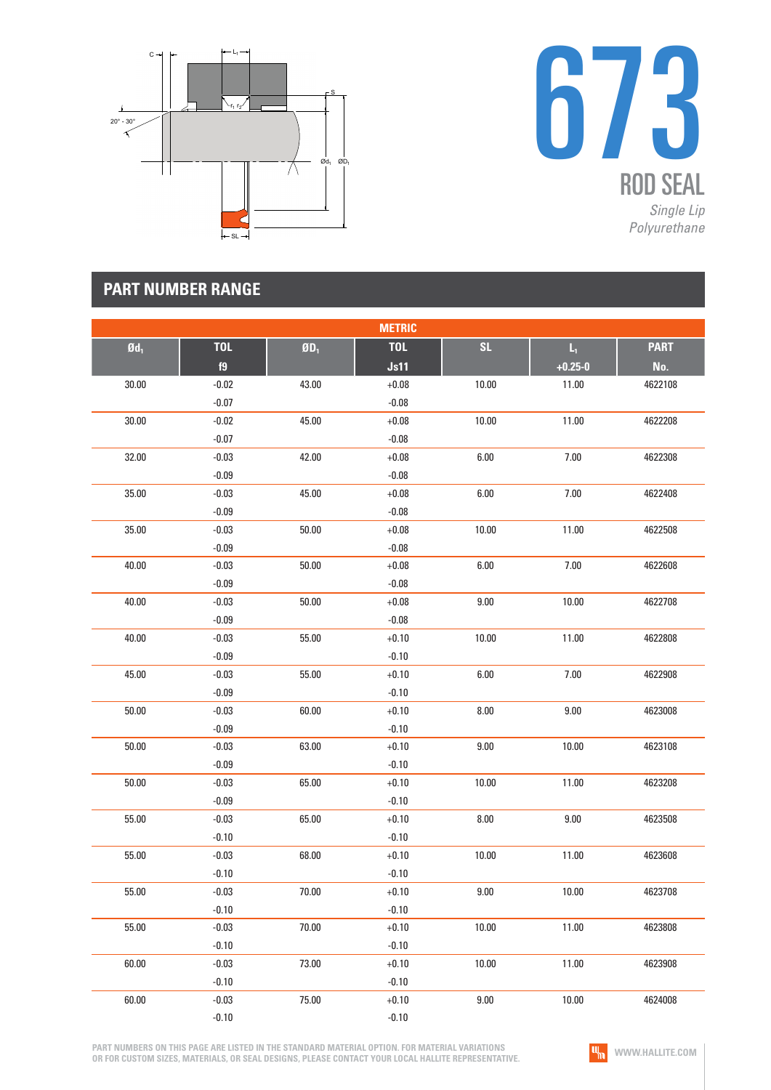



|                 |            |                                  | <b>METRIC</b> |          |                         |             |
|-----------------|------------|----------------------------------|---------------|----------|-------------------------|-------------|
| $\mathbf{0d}_1$ | <b>TOL</b> | $\boldsymbol{0}\boldsymbol{0}_1$ | <b>TOL</b>    | SL       | $\mathsf{L}_\mathsf{I}$ | <b>PART</b> |
|                 | f9         |                                  | Js11          |          | $+0.25 - 0$             | No.         |
| 30.00           | $-0.02$    | 43.00                            | $+0.08$       | 10.00    | 11.00                   | 4622108     |
|                 | $-0.07$    |                                  | $-0.08$       |          |                         |             |
| 30.00           | $-0.02$    | 45.00                            | $+0.08$       | 10.00    | 11.00                   | 4622208     |
|                 | $-0.07$    |                                  | $-0.08$       |          |                         |             |
| 32.00           | $-0.03$    | 42.00                            | $+0.08$       | 6.00     | $7.00\,$                | 4622308     |
|                 | $-0.09$    |                                  | $-0.08$       |          |                         |             |
| 35.00           | $-0.03$    | 45.00                            | $+0.08$       | 6.00     | $7.00$                  | 4622408     |
|                 | $-0.09$    |                                  | $-0.08$       |          |                         |             |
| 35.00           | $-0.03$    | 50.00                            | $+0.08$       | 10.00    | 11.00                   | 4622508     |
|                 | $-0.09$    |                                  | $-0.08$       |          |                         |             |
| 40.00           | $-0.03$    | 50.00                            | $+0.08$       | 6.00     | $7.00\,$                | 4622608     |
|                 | $-0.09$    |                                  | $-0.08$       |          |                         |             |
| 40.00           | $-0.03$    | 50.00                            | $+0.08$       | 9.00     | 10.00                   | 4622708     |
|                 | $-0.09$    |                                  | $-0.08$       |          |                         |             |
| 40.00           | $-0.03$    | 55.00                            | $+0.10$       | 10.00    | 11.00                   | 4622808     |
|                 | $-0.09$    |                                  | $-0.10$       |          |                         |             |
| 45.00           | $-0.03$    | 55.00                            | $+0.10$       | 6.00     | $7.00\,$                | 4622908     |
|                 | $-0.09$    |                                  | $-0.10$       |          |                         |             |
| 50.00           | $-0.03$    | 60.00                            | $+0.10$       | 8.00     | $9.00\,$                | 4623008     |
|                 | $-0.09$    |                                  | $-0.10$       |          |                         |             |
| 50.00           | $-0.03$    | 63.00                            | $+0.10$       | 9.00     | 10.00                   | 4623108     |
|                 | $-0.09$    |                                  | $-0.10$       |          |                         |             |
| 50.00           | $-0.03$    | 65.00                            | $+0.10$       | 10.00    | 11.00                   | 4623208     |
|                 | $-0.09$    |                                  | $-0.10$       |          |                         |             |
| 55.00           | $-0.03$    | 65.00                            | $+0.10$       | 8.00     | $9.00\,$                | 4623508     |
|                 | $-0.10$    |                                  | $-0.10$       |          |                         |             |
| 55.00           | $-0.03$    | 68.00                            | $+0.10$       | 10.00    | 11.00                   | 4623608     |
|                 | $-0.10$    |                                  | $-0.10$       |          |                         |             |
| 55.00           | $-0.03$    | 70.00                            | $+0.10$       | $9.00\,$ | 10.00                   | 4623708     |
|                 | $-0.10$    |                                  | $-0.10$       |          |                         |             |
| 55.00           | $-0.03$    | 70.00                            | $+0.10$       | 10.00    | 11.00                   | 4623808     |
|                 | $-0.10$    |                                  | $-0.10$       |          |                         |             |
| 60.00           | $-0.03$    | 73.00                            | $+0.10$       | 10.00    | 11.00                   | 4623908     |
|                 | $-0.10$    |                                  | $-0.10$       |          |                         |             |
| 60.00           | $-0.03$    | 75.00                            | $+0.10$       | 9.00     | 10.00                   | 4624008     |
|                 | $-0.10$    |                                  | $-0.10$       |          |                         |             |

**PART NUMBERS ON THIS PAGE ARE LISTED IN THE STANDARD MATERIAL OPTION. FOR MATERIAL VARIATIONS OR FOR CUSTOM SIZES, MATERIALS, OR SEAL DESIGNS, PLEASE CONTACT YOUR LOCAL HALLITE REPRESENTATIVE.**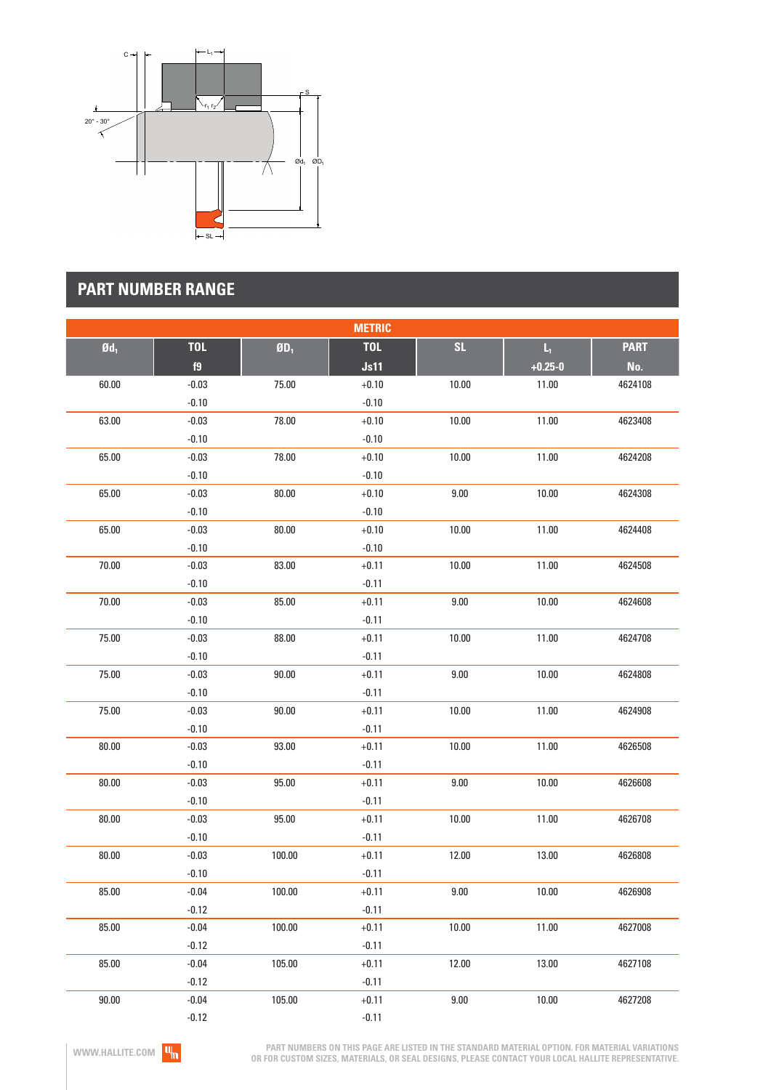

| <b>METRIC</b>     |            |                             |            |           |                         |             |
|-------------------|------------|-----------------------------|------------|-----------|-------------------------|-------------|
| $\mathfrak{gd}_1$ | <b>TOL</b> | $\mathbf{g}_{\mathbf{D}_1}$ | <b>TOL</b> | <b>SL</b> | $\mathsf{L}_\mathrm{L}$ | <b>PART</b> |
|                   | f9         |                             | Js11       |           | $+0.25 - 0$             | No.         |
| 60.00             | $-0.03$    | 75.00                       | $+0.10$    | 10.00     | 11.00                   | 4624108     |
|                   | $-0.10$    |                             | $-0.10$    |           |                         |             |
| 63.00             | $-0.03$    | 78.00                       | $+0.10$    | 10.00     | 11.00                   | 4623408     |
|                   | $-0.10$    |                             | $-0.10$    |           |                         |             |
| 65.00             | $-0.03$    | 78.00                       | $+0.10$    | 10.00     | 11.00                   | 4624208     |
|                   | $-0.10$    |                             | $-0.10$    |           |                         |             |
| 65.00             | $-0.03$    | 80.00                       | $+0.10$    | 9.00      | 10.00                   | 4624308     |
|                   | $-0.10$    |                             | $-0.10$    |           |                         |             |
| 65.00             | $-0.03$    | 80.00                       | $+0.10$    | 10.00     | 11.00                   | 4624408     |
|                   | $-0.10$    |                             | $-0.10$    |           |                         |             |
| 70.00             | $-0.03$    | 83.00                       | $+0.11$    | 10.00     | 11.00                   | 4624508     |
|                   | $-0.10$    |                             | $-0.11$    |           |                         |             |
| 70.00             | $-0.03$    | 85.00                       | $+0.11$    | $9.00\,$  | 10.00                   | 4624608     |
|                   | $-0.10$    |                             | $-0.11$    |           |                         |             |
| 75.00             | $-0.03$    | 88.00                       | $+0.11$    | 10.00     | 11.00                   | 4624708     |
|                   | $-0.10$    |                             | $-0.11$    |           |                         |             |
| 75.00             | $-0.03$    | 90.00                       | $+0.11$    | 9.00      | 10.00                   | 4624808     |
|                   | $-0.10$    |                             | $-0.11$    |           |                         |             |
| 75.00             | $-0.03$    | 90.00                       | $+0.11$    | 10.00     | 11.00                   | 4624908     |
|                   | $-0.10$    |                             | $-0.11$    |           |                         |             |
| 80.00             | $-0.03$    | 93.00                       | $+0.11$    | 10.00     | 11.00                   | 4626508     |
|                   | $-0.10$    |                             | $-0.11$    |           |                         |             |
| 80.00             | $-0.03$    | 95.00                       | $+0.11$    | 9.00      | 10.00                   | 4626608     |
|                   | $-0.10$    |                             | $-0.11$    |           |                         |             |
| 80.00             | $-0.03$    | 95.00                       | $+0.11$    | 10.00     | 11.00                   | 4626708     |
|                   | $-0.10$    |                             | $-0.11$    |           |                         |             |
| 80.00             | $-0.03$    | 100.00                      | $+0.11$    | 12.00     | 13.00                   | 4626808     |
|                   | $-0.10$    |                             | $-0.11$    |           |                         |             |
| 85.00             | $-0.04$    | 100.00                      | $+0.11$    | 9.00      | 10.00                   | 4626908     |
|                   | $-0.12$    |                             | $-0.11$    |           |                         |             |
| 85.00             | $-0.04$    | 100.00                      | $+0.11$    | 10.00     | 11.00                   | 4627008     |
|                   | $-0.12$    |                             | $-0.11$    |           |                         |             |
| 85.00             | $-0.04$    | 105.00                      | $+0.11$    | 12.00     | 13.00                   | 4627108     |
|                   | $-0.12$    |                             | $-0.11$    |           |                         |             |
| 90.00             | $-0.04$    | 105.00                      | $+0.11$    | $9.00\,$  | 10.00                   | 4627208     |
|                   | $-0.12$    |                             | $-0.11$    |           |                         |             |

**PART NUMBERS ON THIS PAGE ARE LISTED IN THE STANDARD MATERIAL OPTION. FOR MATERIAL VARIATIONS OR FOR CUSTOM SIZES, MATERIALS, OR SEAL DESIGNS, PLEASE CONTACT YOUR LOCAL HALLITE REPRESENTATIVE.**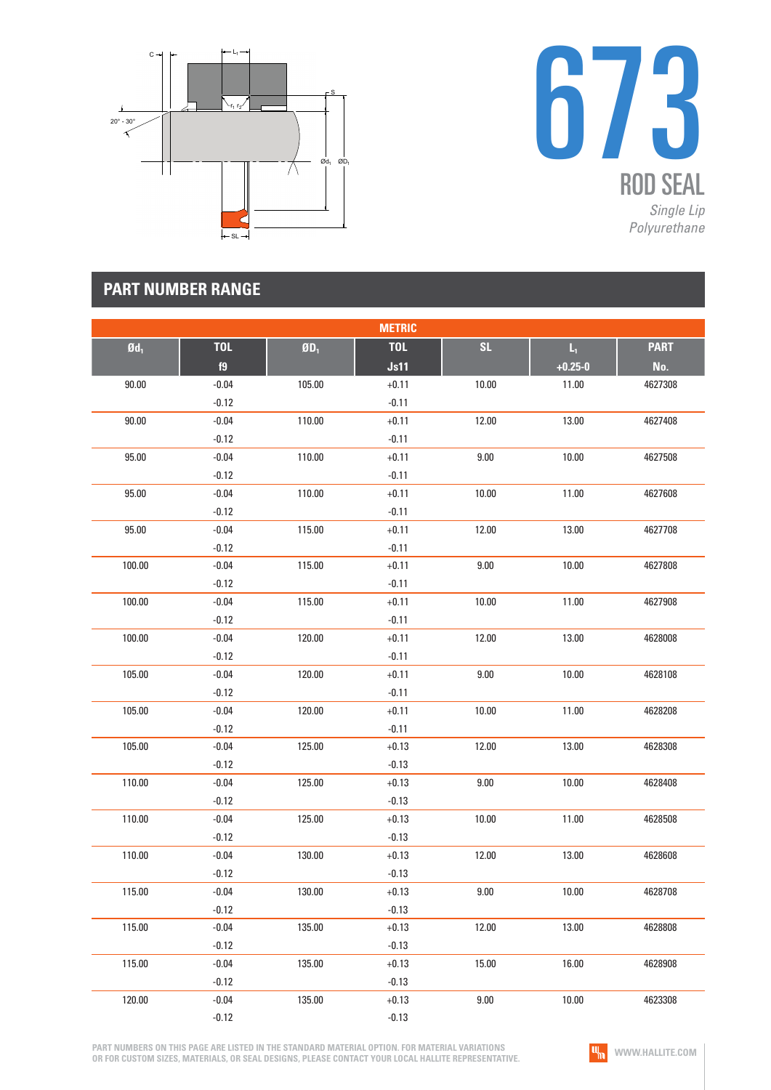



| <b>METRIC</b>     |            |                          |            |       |                         |             |
|-------------------|------------|--------------------------|------------|-------|-------------------------|-------------|
| $\mathfrak{gd}_1$ | <b>TOL</b> | $\mathbf{0}\mathbf{D}_1$ | <b>TOL</b> | SL    | $\mathsf{L}_\mathsf{L}$ | <b>PART</b> |
|                   | f9         |                          | Js11       |       | $+0.25 - 0$             | No.         |
| 90.00             | $-0.04$    | 105.00                   | $+0.11$    | 10.00 | 11.00                   | 4627308     |
|                   | $-0.12$    |                          | $-0.11$    |       |                         |             |
| 90.00             | $-0.04$    | 110.00                   | $+0.11$    | 12.00 | 13.00                   | 4627408     |
|                   | $-0.12$    |                          | $-0.11$    |       |                         |             |
| 95.00             | $-0.04$    | 110.00                   | $+0.11$    | 9.00  | 10.00                   | 4627508     |
|                   | $-0.12$    |                          | $-0.11$    |       |                         |             |
| 95.00             | $-0.04$    | 110.00                   | $+0.11$    | 10.00 | 11.00                   | 4627608     |
|                   | $-0.12$    |                          | $-0.11$    |       |                         |             |
| 95.00             | $-0.04$    | 115.00                   | $+0.11$    | 12.00 | 13.00                   | 4627708     |
|                   | $-0.12$    |                          | $-0.11$    |       |                         |             |
| 100.00            | $-0.04$    | 115.00                   | $+0.11$    | 9.00  | 10.00                   | 4627808     |
|                   | $-0.12$    |                          | $-0.11$    |       |                         |             |
| 100.00            | $-0.04$    | 115.00                   | $+0.11$    | 10.00 | 11.00                   | 4627908     |
|                   | $-0.12$    |                          | $-0.11$    |       |                         |             |
| 100.00            | $-0.04$    | 120.00                   | $+0.11$    | 12.00 | 13.00                   | 4628008     |
|                   | $-0.12$    |                          | $-0.11$    |       |                         |             |
| 105.00            | $-0.04$    | 120.00                   | $+0.11$    | 9.00  | 10.00                   | 4628108     |
|                   | $-0.12$    |                          | $-0.11$    |       |                         |             |
| 105.00            | $-0.04$    | 120.00                   | $+0.11$    | 10.00 | 11.00                   | 4628208     |
|                   | $-0.12$    |                          | $-0.11$    |       |                         |             |
| 105.00            | $-0.04$    | 125.00                   | $+0.13$    | 12.00 | 13.00                   | 4628308     |
|                   | $-0.12$    |                          | $-0.13$    |       |                         |             |
| 110.00            | $-0.04$    | 125.00                   | $+0.13$    | 9.00  | 10.00                   | 4628408     |
|                   | $-0.12$    |                          | $-0.13$    |       |                         |             |
| 110.00            | $-0.04$    | 125.00                   | $+0.13$    | 10.00 | 11.00                   | 4628508     |
|                   | $-0.12$    |                          | $-0.13$    |       |                         |             |
| 110.00            | $-0.04$    | 130.00                   | $+0.13$    | 12.00 | 13.00                   | 4628608     |
|                   | $-0.12$    |                          | $-0.13$    |       |                         |             |
| 115.00            | $-0.04$    | 130.00                   | $+0.13$    | 9.00  | 10.00                   | 4628708     |
|                   | $-0.12$    |                          | $-0.13$    |       |                         |             |
| 115.00            | $-0.04$    | 135.00                   | $+0.13$    | 12.00 | 13.00                   | 4628808     |
|                   | $-0.12$    |                          | $-0.13$    |       |                         |             |
| 115.00            | $-0.04$    | 135.00                   | $+0.13$    | 15.00 | 16.00                   | 4628908     |
|                   | $-0.12$    |                          | $-0.13$    |       |                         |             |
| 120.00            | $-0.04$    | 135.00                   | $+0.13$    | 9.00  | 10.00                   | 4623308     |
|                   | $-0.12$    |                          | $-0.13$    |       |                         |             |

**PART NUMBERS ON THIS PAGE ARE LISTED IN THE STANDARD MATERIAL OPTION. FOR MATERIAL VARIATIONS OR FOR CUSTOM SIZES, MATERIALS, OR SEAL DESIGNS, PLEASE CONTACT YOUR LOCAL HALLITE REPRESENTATIVE.**